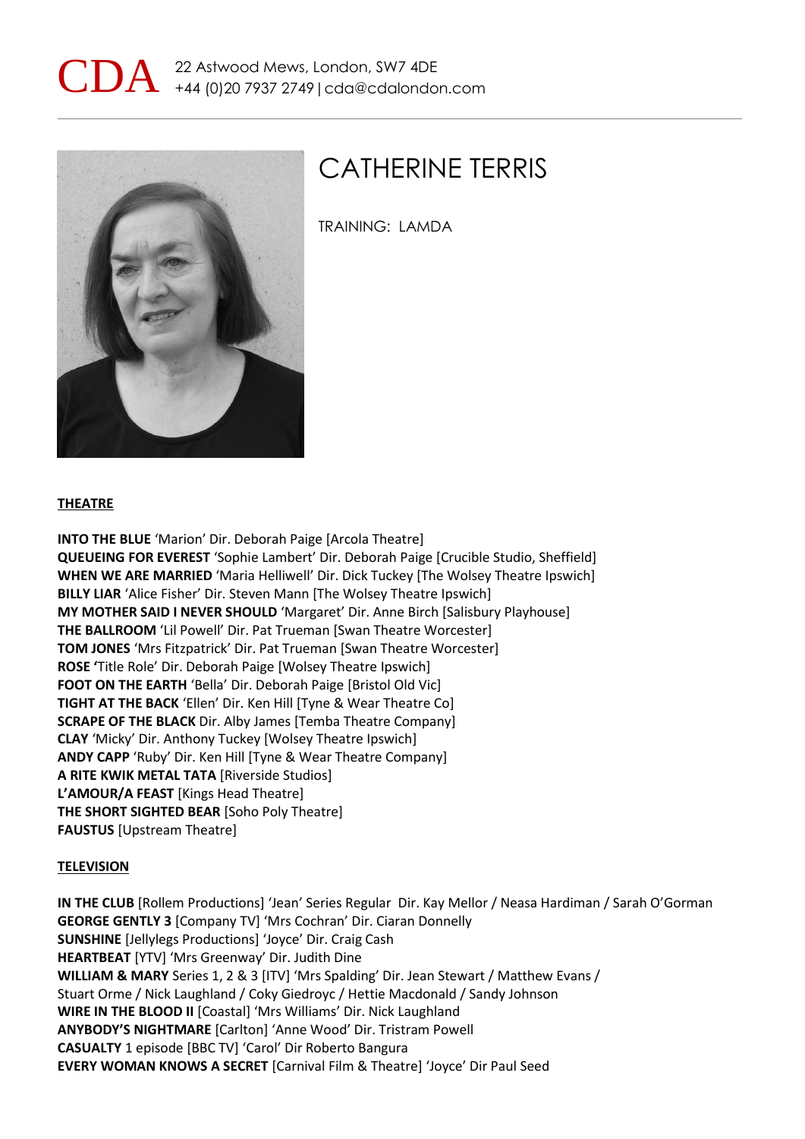



## CATHERINE TERRIS

TRAINING: LAMDA

## **THEATRE**

**INTO THE BLUE** 'Marion' Dir. Deborah Paige [Arcola Theatre] **QUEUEING FOR EVEREST** 'Sophie Lambert' Dir. Deborah Paige [Crucible Studio, Sheffield] **WHEN WE ARE MARRIED** 'Maria Helliwell' Dir. Dick Tuckey [The Wolsey Theatre Ipswich] **BILLY LIAR** 'Alice Fisher' Dir. Steven Mann [The Wolsey Theatre Ipswich] **MY MOTHER SAID I NEVER SHOULD** 'Margaret' Dir. Anne Birch [Salisbury Playhouse] **THE BALLROOM** 'Lil Powell' Dir. Pat Trueman [Swan Theatre Worcester] **TOM JONES** 'Mrs Fitzpatrick' Dir. Pat Trueman [Swan Theatre Worcester] **ROSE '**Title Role' Dir. Deborah Paige [Wolsey Theatre Ipswich] **FOOT ON THE EARTH** 'Bella' Dir. Deborah Paige [Bristol Old Vic] **TIGHT AT THE BACK** 'Ellen' Dir. Ken Hill [Tyne & Wear Theatre Co] **SCRAPE OF THE BLACK** Dir. Alby James [Temba Theatre Company] **CLAY** 'Micky' Dir. Anthony Tuckey [Wolsey Theatre Ipswich] **ANDY CAPP** 'Ruby' Dir. Ken Hill [Tyne & Wear Theatre Company] **A RITE KWIK METAL TATA** [Riverside Studios] **L'AMOUR/A FEAST** [Kings Head Theatre] **THE SHORT SIGHTED BEAR** [Soho Poly Theatre] **FAUSTUS** [Upstream Theatre]

## **TELEVISION**

**IN THE CLUB** [Rollem Productions] 'Jean' Series Regular Dir. Kay Mellor / Neasa Hardiman / Sarah O'Gorman **GEORGE GENTLY 3** [Company TV] 'Mrs Cochran' Dir. Ciaran Donnelly **SUNSHINE** [Jellylegs Productions] 'Joyce' Dir. Craig Cash **HEARTBEAT** [YTV] 'Mrs Greenway' Dir. Judith Dine **WILLIAM & MARY** Series 1, 2 & 3 [ITV] 'Mrs Spalding' Dir. Jean Stewart / Matthew Evans / Stuart Orme / Nick Laughland / Coky Giedroyc / Hettie Macdonald / Sandy Johnson **WIRE IN THE BLOOD II** [Coastal] 'Mrs Williams' Dir. Nick Laughland **ANYBODY'S NIGHTMARE** [Carlton] 'Anne Wood' Dir. Tristram Powell **CASUALTY** 1 episode [BBC TV] 'Carol' Dir Roberto Bangura **EVERY WOMAN KNOWS A SECRET** [Carnival Film & Theatre] 'Joyce' Dir Paul Seed